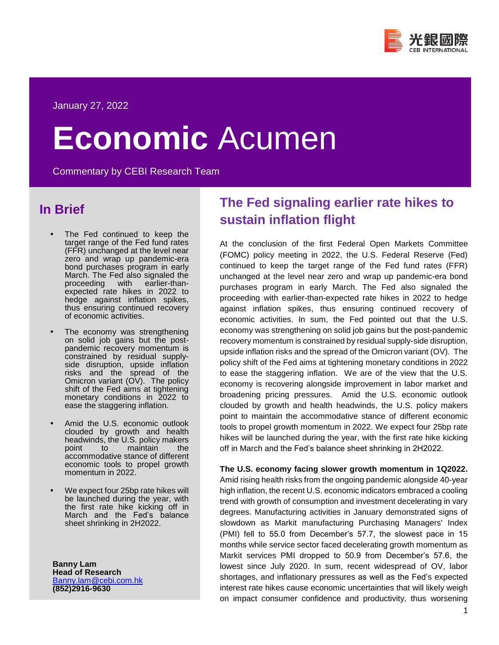

# **Economic** Acumen

Commentary by CEBI Research Team

## **In Brief**

- The Fed continued to keep the target range of the Fed fund rates (FFR) unchanged at the level near zero and wrap up pandemic-era bond purchases program in early March. The Fed also signaled the proceeding with earlier-thanexpected rate hikes in 2022 to hedge against inflation spikes, thus ensuring continued recovery of economic activities.
- The economy was strengthening on solid job gains but the postpandemic recovery momentum is constrained by residual supplyside disruption, upside inflation risks and the spread of the Omicron variant (OV). The policy shift of the Fed aims at tightening monetary conditions in 2022 to ease the staggering inflation.
- Amid the U.S. economic outlook clouded by growth and health headwinds, the U.S. policy makers point to maintain the accommodative stance of different economic tools to propel growth momentum in 2022.
- We expect four 25bp rate hikes will be launched during the year, with the first rate hike kicking off in March and the Fed's balance sheet shrinking in 2H2022.

**Banny Lam Head of Research** [Banny.lam@cebi.com.hk](mailto:Banny.lam@cebi.com.hk) **(852)2916-9630**

# **The Fed signaling earlier rate hikes to sustain inflation flight**

At the conclusion of the first Federal Open Markets Committee (FOMC) policy meeting in 2022, the U.S. Federal Reserve (Fed) continued to keep the target range of the Fed fund rates (FFR) unchanged at the level near zero and wrap up pandemic-era bond purchases program in early March. The Fed also signaled the proceeding with earlier-than-expected rate hikes in 2022 to hedge against inflation spikes, thus ensuring continued recovery of economic activities. In sum, the Fed pointed out that the U.S. economy was strengthening on solid job gains but the post-pandemic recovery momentum is constrained by residual supply-side disruption, upside inflation risks and the spread of the Omicron variant (OV). The policy shift of the Fed aims at tightening monetary conditions in 2022 to ease the staggering inflation. We are of the view that the U.S. economy is recovering alongside improvement in labor market and broadening pricing pressures. Amid the U.S. economic outlook clouded by growth and health headwinds, the U.S. policy makers point to maintain the accommodative stance of different economic tools to propel growth momentum in 2022. We expect four 25bp rate hikes will be launched during the year, with the first rate hike kicking off in March and the Fed's balance sheet shrinking in 2H2022.

## **The U.S. economy facing slower growth momentum in 1Q2022.**

Amid rising health risks from the ongoing pandemic alongside 40-year high inflation, the recent U.S. economic indicators embraced a cooling trend with growth of consumption and investment decelerating in vary degrees. Manufacturing activities in January demonstrated signs of slowdown as Markit manufacturing Purchasing Managers' Index (PMI) fell to 55.0 from December's 57.7, the slowest pace in 15 months while service sector faced decelerating growth momentum as Markit services PMI dropped to 50.9 from December's 57.6, the lowest since July 2020. In sum, recent widespread of OV, labor shortages, and inflationary pressures as well as the Fed's expected interest rate hikes cause economic uncertainties that will likely weigh on impact consumer confidence and productivity, thus worsening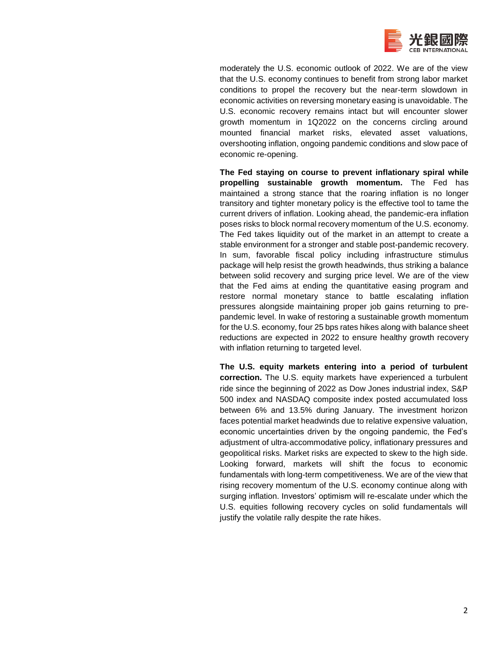

moderately the U.S. economic outlook of 2022. We are of the view that the U.S. economy continues to benefit from strong labor market conditions to propel the recovery but the near-term slowdown in economic activities on reversing monetary easing is unavoidable. The U.S. economic recovery remains intact but will encounter slower growth momentum in 1Q2022 on the concerns circling around mounted financial market risks, elevated asset valuations, overshooting inflation, ongoing pandemic conditions and slow pace of economic re-opening.

**The Fed staying on course to prevent inflationary spiral while propelling sustainable growth momentum.** The Fed has maintained a strong stance that the roaring inflation is no longer transitory and tighter monetary policy is the effective tool to tame the current drivers of inflation. Looking ahead, the pandemic-era inflation poses risks to block normal recovery momentum of the U.S. economy. The Fed takes liquidity out of the market in an attempt to create a stable environment for a stronger and stable post-pandemic recovery. In sum, favorable fiscal policy including infrastructure stimulus package will help resist the growth headwinds, thus striking a balance between solid recovery and surging price level. We are of the view that the Fed aims at ending the quantitative easing program and restore normal monetary stance to battle escalating inflation pressures alongside maintaining proper job gains returning to prepandemic level. In wake of restoring a sustainable growth momentum for the U.S. economy, four 25 bps rates hikes along with balance sheet reductions are expected in 2022 to ensure healthy growth recovery with inflation returning to targeted level.

**The U.S. equity markets entering into a period of turbulent correction.** The U.S. equity markets have experienced a turbulent ride since the beginning of 2022 as Dow Jones industrial index, S&P 500 index and NASDAQ composite index posted accumulated loss between 6% and 13.5% during January. The investment horizon faces potential market headwinds due to relative expensive valuation, economic uncertainties driven by the ongoing pandemic, the Fed's adjustment of ultra-accommodative policy, inflationary pressures and geopolitical risks. Market risks are expected to skew to the high side. Looking forward, markets will shift the focus to economic fundamentals with long-term competitiveness. We are of the view that rising recovery momentum of the U.S. economy continue along with surging inflation. Investors' optimism will re-escalate under which the U.S. equities following recovery cycles on solid fundamentals will justify the volatile rally despite the rate hikes.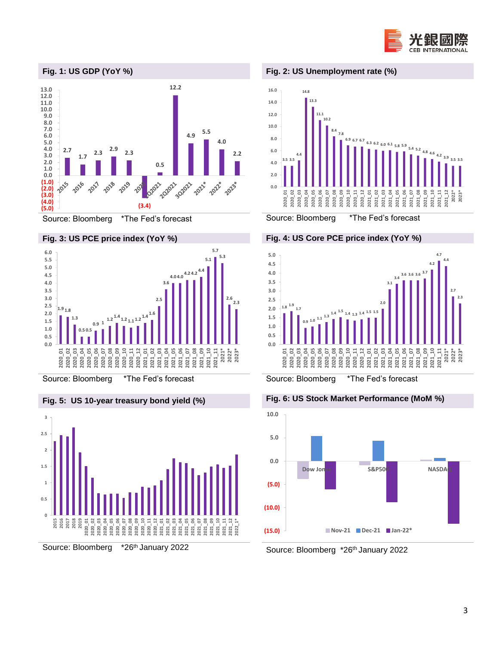









Source: Bloomberg \*The Fed's forecast Source: Bloomberg \*The Fed's forecast







### **Fig. 2: US Unemployment rate (%)**



**Fig. 4: US Core PCE price index (YoY %)**



**Fig. 5: US 10-year treasury bond yield (%) Fig. 6: US Stock Market Performance (MoM %)**



Source: Bloomberg \*26th January 2022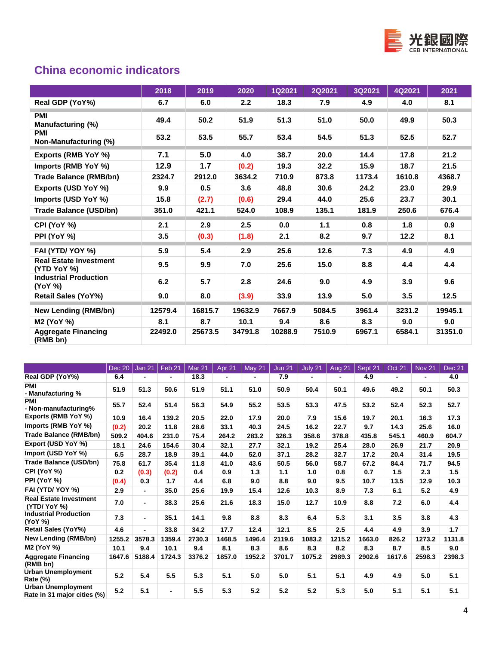

## **China economic indicators**

|                                              | 2018    | 2019    | 2020    | <b>1Q2021</b> | <b>2Q2021</b> | 3Q2021 | 4Q2021 | 2021    |
|----------------------------------------------|---------|---------|---------|---------------|---------------|--------|--------|---------|
| Real GDP (YoY%)                              | 6.7     | 6.0     | 2.2     | 18.3          | 7.9           | 4.9    | 4.0    | 8.1     |
| <b>PMI</b><br>Manufacturing (%)              | 49.4    | 50.2    | 51.9    | 51.3          | 51.0          | 50.0   | 49.9   | 50.3    |
| <b>PMI</b><br>Non-Manufacturing (%)          | 53.2    | 53.5    | 55.7    | 53.4          | 54.5          | 51.3   | 52.5   | 52.7    |
| Exports (RMB YoY %)                          | 7.1     | 5.0     | 4.0     | 38.7          | 20.0          | 14.4   | 17.8   | 21.2    |
| Imports (RMB YoY %)                          | 12.9    | 1.7     | (0.2)   | 19.3          | 32.2          | 15.9   | 18.7   | 21.5    |
| <b>Trade Balance (RMB/bn)</b>                | 2324.7  | 2912.0  | 3634.2  | 710.9         | 873.8         | 1173.4 | 1610.8 | 4368.7  |
| Exports (USD YoY %)                          | 9.9     | 0.5     | 3.6     | 48.8          | 30.6          | 24.2   | 23.0   | 29.9    |
| Imports (USD YoY %)                          | 15.8    | (2.7)   | (0.6)   | 29.4          | 44.0          | 25.6   | 23.7   | 30.1    |
| <b>Trade Balance (USD/bn)</b>                | 351.0   | 421.1   | 524.0   | 108.9         | 135.1         | 181.9  | 250.6  | 676.4   |
| CPI (YoY %)                                  | 2.1     | 2.9     | 2.5     | 0.0           | 1.1           | 0.8    | 1.8    | 0.9     |
| PPI (YoY %)                                  | 3.5     | (0.3)   | (1.8)   | 2.1           | 8.2           | 9.7    | 12.2   | 8.1     |
| FAI (YTD/YOY %)                              | 5.9     | 5.4     | 2.9     | 25.6          | 12.6          | 7.3    | 4.9    | 4.9     |
| <b>Real Estate Investment</b><br>(YTD YoY %) | 9.5     | 9.9     | 7.0     | 25.6          | 15.0          | 8.8    | 4.4    | 4.4     |
| <b>Industrial Production</b><br>(YoY %)      | 6.2     | 5.7     | 2.8     | 24.6          | 9.0           | 4.9    | 3.9    | 9.6     |
| <b>Retail Sales (YoY%)</b>                   | 9.0     | 8.0     | (3.9)   | 33.9          | 13.9          | 5.0    | 3.5    | 12.5    |
| <b>New Lending (RMB/bn)</b>                  | 12579.4 | 16815.7 | 19632.9 | 7667.9        | 5084.5        | 3961.4 | 3231.2 | 19945.1 |
| <b>M2 (YoY %)</b>                            | 8.1     | 8.7     | 10.1    | 9.4           | 8.6           | 8.3    | 9.0    | 9.0     |
| <b>Aggregate Financing</b><br>(RMB bn)       | 22492.0 | 25673.5 | 34791.8 | 10288.9       | 7510.9        | 6967.1 | 6584.1 | 31351.0 |

|                                                          | Dec 20 | Jan 21         | Feb 21         | Mar 21 | Apr 21         | <b>May 21</b> | <b>Jun 21</b> | July 21        | Aug 21         | Sept 21 | <b>Oct 21</b>  | <b>Nov 21</b> | Dec 21 |
|----------------------------------------------------------|--------|----------------|----------------|--------|----------------|---------------|---------------|----------------|----------------|---------|----------------|---------------|--------|
| Real GDP (YoY%)                                          | 6.4    | $\blacksquare$ | ۰.             | 18.3   | $\blacksquare$ |               | 7.9           | $\blacksquare$ | $\blacksquare$ | 4.9     | $\blacksquare$ | ۰             | 4.0    |
| <b>PMI</b><br>- Manufacturing %                          | 51.9   | 51.3           | 50.6           | 51.9   | 51.1           | 51.0          | 50.9          | 50.4           | 50.1           | 49.6    | 49.2           | 50.1          | 50.3   |
| <b>PMI</b><br>- Non-manufacturing%                       | 55.7   | 52.4           | 51.4           | 56.3   | 54.9           | 55.2          | 53.5          | 53.3           | 47.5           | 53.2    | 52.4           | 52.3          | 52.7   |
| Exports (RMB YoY %)                                      | 10.9   | 16.4           | 139.2          | 20.5   | 22.0           | 17.9          | 20.0          | 7.9            | 15.6           | 19.7    | 20.1           | 16.3          | 17.3   |
| Imports (RMB YoY %)                                      | (0.2)  | 20.2           | 11.8           | 28.6   | 33.1           | 40.3          | 24.5          | 16.2           | 22.7           | 9.7     | 14.3           | 25.6          | 16.0   |
| Trade Balance (RMB/bn)                                   | 509.2  | 404.6          | 231.0          | 75.4   | 264.2          | 283.2         | 326.3         | 358.6          | 378.8          | 435.8   | 545.1          | 460.9         | 604.7  |
| Export (USD YoY %)                                       | 18.1   | 24.6           | 154.6          | 30.4   | 32.1           | 27.7          | 32.1          | 19.2           | 25.4           | 28.0    | 26.9           | 21.7          | 20.9   |
| Import (USD YoY %)                                       | 6.5    | 28.7           | 18.9           | 39.1   | 44.0           | 52.0          | 37.1          | 28.2           | 32.7           | 17.2    | 20.4           | 31.4          | 19.5   |
| <b>Trade Balance (USD/bn)</b>                            | 75.8   | 61.7           | 35.4           | 11.8   | 41.0           | 43.6          | 50.5          | 56.0           | 58.7           | 67.2    | 84.4           | 71.7          | 94.5   |
| CPI (YoY %)                                              | 0.2    | (0.3)          | (0.2)          | 0.4    | 0.9            | 1.3           | 1.1           | 1.0            | 0.8            | 0.7     | 1.5            | 2.3           | 1.5    |
| PPI (YoY %)                                              | (0.4)  | 0.3            | 1.7            | 4.4    | 6.8            | 9.0           | 8.8           | 9.0            | 9.5            | 10.7    | 13.5           | 12.9          | 10.3   |
| FAI (YTD/YOY %)                                          | 2.9    | $\blacksquare$ | 35.0           | 25.6   | 19.9           | 15.4          | 12.6          | 10.3           | 8.9            | 7.3     | 6.1            | 5.2           | 4.9    |
| <b>Real Estate Investment</b><br>(YTD/YoY %)             | 7.0    | $\blacksquare$ | 38.3           | 25.6   | 21.6           | 18.3          | 15.0          | 12.7           | 10.9           | 8.8     | 7.2            | 6.0           | 4.4    |
| <b>Industrial Production</b><br>(YoY %)                  | 7.3    | $\blacksquare$ | 35.1           | 14.1   | 9.8            | 8.8           | 8.3           | 6.4            | 5.3            | 3.1     | 3.5            | 3.8           | 4.3    |
| <b>Retail Sales (YoY%)</b>                               | 4.6    | $\blacksquare$ | 33.8           | 34.2   | 17.7           | 12.4          | 12.1          | 8.5            | 2.5            | 4.4     | 4.9            | 3.9           | 1.7    |
| New Lending (RMB/bn)                                     | 1255.2 | 3578.3         | 1359.4         | 2730.3 | 1468.5         | 1496.4        | 2119.6        | 1083.2         | 1215.2         | 1663.0  | 826.2          | 1273.2        | 1131.8 |
| <b>M2 (YoY %)</b>                                        | 10.1   | 9.4            | 10.1           | 9.4    | 8.1            | 8.3           | 8.6           | 8.3            | 8.2            | 8.3     | 8.7            | 8.5           | 9.0    |
| <b>Aggregate Financing</b><br>(RMB bn)                   | 1647.6 | 5188.4         | 1724.3         | 3376.2 | 1857.0         | 1952.2        | 3701.7        | 1075.2         | 2989.3         | 2902.6  | 1617.6         | 2598.3        | 2398.3 |
| <b>Urban Unemployment</b><br><b>Rate (%)</b>             | 5.2    | 5.4            | 5.5            | 5.3    | 5.1            | 5.0           | 5.0           | 5.1            | 5.1            | 4.9     | 4.9            | 5.0           | 5.1    |
| <b>Urban Unemployment</b><br>Rate in 31 major cities (%) | 5.2    | 5.1            | $\blacksquare$ | 5.5    | 5.3            | 5.2           | 5.2           | 5.2            | 5.3            | 5.0     | 5.1            | 5.1           | 5.1    |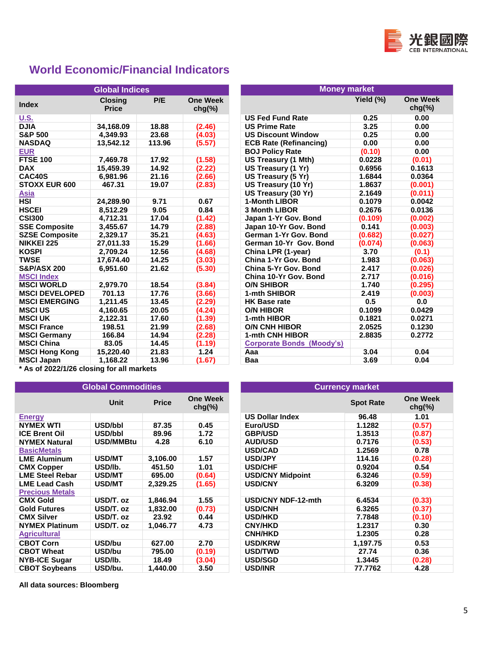

## **World Economic/Financial Indicators**

|                        | <b>Global Indices</b>          |        |                              | <b>Money market</b>              |           |                             |  |
|------------------------|--------------------------------|--------|------------------------------|----------------------------------|-----------|-----------------------------|--|
| <b>Index</b>           | <b>Closing</b><br><b>Price</b> | P/E    | <b>One Week</b><br>$chg(\%)$ |                                  | Yield (%) | <b>One Wee</b><br>$chg(\%)$ |  |
| <b>U.S.</b>            |                                |        |                              | <b>US Fed Fund Rate</b>          | 0.25      |                             |  |
| <b>DJIA</b>            | 34,168.09                      | 18.88  | (2.46)                       | <b>US Prime Rate</b>             | 3.25      |                             |  |
| <b>S&amp;P 500</b>     | 4.349.93                       | 23.68  | (4.03)                       | <b>US Discount Window</b>        | 0.25      |                             |  |
| <b>NASDAQ</b>          | 13,542.12                      | 113.96 | (5.57)                       | <b>ECB Rate (Refinancing)</b>    | 0.00      |                             |  |
| <b>EUR</b>             |                                |        |                              | <b>BOJ Policy Rate</b>           | (0.10)    |                             |  |
| <b>FTSE 100</b>        | 7,469.78                       | 17.92  | (1.58)                       | US Treasury (1 Mth)              | 0.0228    |                             |  |
| <b>DAX</b>             | 15,459.39                      | 14.92  | (2.22)                       | US Treasury (1 Yr)               | 0.6956    | 0.1613                      |  |
| CAC40S                 | 6,981.96                       | 21.16  | (2.66)                       | US Treasury (5 Yr)               | 1.6844    | 0.0364                      |  |
| <b>STOXX EUR 600</b>   | 467.31                         | 19.07  | (2.83)                       | US Treasury (10 Yr)              | 1.8637    | (0.001)                     |  |
| <b>Asia</b>            |                                |        |                              | US Treasury (30 Yr)              | 2.1649    | (0.011)                     |  |
| <b>HSI</b>             | 24,289.90                      | 9.71   | 0.67                         | 1-Month LIBOR                    | 0.1079    | 0.0042                      |  |
| <b>HSCEI</b>           | 8,512.29                       | 9.05   | 0.84                         | <b>3 Month LIBOR</b>             | 0.2676    | 0.0136                      |  |
| <b>CSI300</b>          | 4,712.31                       | 17.04  | (1.42)                       | Japan 1-Yr Gov. Bond             | (0.109)   | (0.002)                     |  |
| <b>SSE Composite</b>   | 3,455.67                       | 14.79  | (2.88)                       | Japan 10-Yr Gov. Bond            | 0.141     | (0.003)                     |  |
| <b>SZSE Composite</b>  | 2,329.17                       | 35.21  | (4.63)                       | German 1-Yr Gov. Bond            | (0.682)   | (0.027)                     |  |
| <b>NIKKEI 225</b>      | 27,011.33                      | 15.29  | (1.66)                       | German 10-Yr Gov, Bond           | (0.074)   | (0.063)                     |  |
| <b>KOSPI</b>           | 2.709.24                       | 12.56  | (4.68)                       | China LPR (1-year)               | 3.70      |                             |  |
| <b>TWSE</b>            | 17.674.40                      | 14.25  | (3.03)                       | China 1-Yr Gov. Bond             | 1.983     | (0.063)                     |  |
| <b>S&amp;P/ASX 200</b> | 6,951.60                       | 21.62  | (5.30)                       | China 5-Yr Gov. Bond             | 2.417     | (0.026)                     |  |
| <b>MSCI Index</b>      |                                |        |                              | China 10-Yr Gov. Bond            | 2.717     | (0.016)                     |  |
| <b>MSCI WORLD</b>      | 2,979.70                       | 18.54  | (3.84)                       | <b>O/N SHIBOR</b>                | 1.740     | (0.295)                     |  |
| <b>MSCI DEVELOPED</b>  | 701.13                         | 17.76  | (3.66)                       | 1-mth SHIBOR                     | 2.419     | (0.003)                     |  |
| <b>MSCI EMERGING</b>   | 1,211.45                       | 13.45  | (2.29)                       | <b>HK Base rate</b>              | 0.5       |                             |  |
| <b>MSCI US</b>         | 4,160.65                       | 20.05  | (4.24)                       | <b>O/N HIBOR</b>                 | 0.1099    | 0.0429                      |  |
| <b>MSCI UK</b>         | 2,122.31                       | 17.60  | (1.39)                       | 1-mth HIBOR                      | 0.1821    | 0.0271                      |  |
| <b>MSCI France</b>     | 198.51                         | 21.99  | (2.68)                       | <b>O/N CNH HIBOR</b>             | 2.0525    | 0.1230                      |  |
| <b>MSCI Germany</b>    | 166.84                         | 14.94  | (2.28)                       | 1-mth CNH HIBOR                  | 2.8835    | 0.2772                      |  |
| <b>MSCI China</b>      | 83.05                          | 14.45  | (1.19)                       | <b>Corporate Bonds (Moody's)</b> |           |                             |  |
| <b>MSCI Hong Kong</b>  | 15.220.40                      | 21.83  | 1.24                         | Aaa                              | 3.04      |                             |  |
| <b>MSCI Japan</b>      | 1,168.22                       | 13.96  | (1.67)                       | Baa                              | 3.69      |                             |  |

|                        | <b>Global Indices</b>          |        |                              | <b>Money market</b>              |           |                              |
|------------------------|--------------------------------|--------|------------------------------|----------------------------------|-----------|------------------------------|
| <b>Index</b>           | <b>Closing</b><br><b>Price</b> | P/E    | <b>One Week</b><br>$chg(\%)$ |                                  | Yield (%) | <b>One Week</b><br>$chg(\%)$ |
| <u>U.S.</u>            |                                |        |                              | <b>US Fed Fund Rate</b>          | 0.25      | 0.00                         |
| <b>DJIA</b>            | 34,168.09                      | 18.88  | (2.46)                       | <b>US Prime Rate</b>             | 3.25      | 0.00                         |
| <b>S&amp;P 500</b>     | 4.349.93                       | 23.68  | (4.03)                       | <b>US Discount Window</b>        | 0.25      | 0.00                         |
| NASDAQ                 | 13,542.12                      | 113.96 | (5.57)                       | <b>ECB Rate (Refinancing)</b>    | 0.00      | 0.00                         |
| <u>EUR</u>             |                                |        |                              | <b>BOJ Policy Rate</b>           | (0.10)    | 0.00                         |
| <b>FTSE 100</b>        | 7,469.78                       | 17.92  | (1.58)                       | <b>US Treasury (1 Mth)</b>       | 0.0228    | (0.01)                       |
| <b>DAX</b>             | 15,459.39                      | 14.92  | (2.22)                       | US Treasury (1 Yr)               | 0.6956    | 0.1613                       |
| CAC40S                 | 6,981.96                       | 21.16  | (2.66)                       | US Treasury (5 Yr)               | 1.6844    | 0.0364                       |
| <b>STOXX EUR 600</b>   | 467.31                         | 19.07  | (2.83)                       | US Treasury (10 Yr)              | 1.8637    | (0.001)                      |
| Asia                   |                                |        |                              | US Treasury (30 Yr)              | 2.1649    | (0.011)                      |
| HSI                    | 24,289.90                      | 9.71   | 0.67                         | 1-Month LIBOR                    | 0.1079    | 0.0042                       |
| HSCEI                  | 8,512.29                       | 9.05   | 0.84                         | <b>3 Month LIBOR</b>             | 0.2676    | 0.0136                       |
| <b>CSI300</b>          | 4,712.31                       | 17.04  | (1.42)                       | Japan 1-Yr Gov. Bond             | (0.109)   | (0.002)                      |
| <b>SSE Composite</b>   | 3,455.67                       | 14.79  | (2.88)                       | Japan 10-Yr Gov. Bond            | 0.141     | (0.003)                      |
| <b>SZSE Composite</b>  | 2,329.17                       | 35.21  | (4.63)                       | German 1-Yr Gov. Bond            | (0.682)   | (0.027)                      |
| <b>NIKKEI 225</b>      | 27,011.33                      | 15.29  | (1.66)                       | German 10-Yr Gov, Bond           | (0.074)   | (0.063)                      |
| <b>KOSPI</b>           | 2.709.24                       | 12.56  | (4.68)                       | China LPR (1-year)               | 3.70      | (0.1)                        |
| TWSE                   | 17,674.40                      | 14.25  | (3.03)                       | China 1-Yr Gov, Bond             | 1.983     | (0.063)                      |
| <b>S&amp;P/ASX 200</b> | 6,951.60                       | 21.62  | (5.30)                       | China 5-Yr Gov. Bond             | 2.417     | (0.026)                      |
| <b>MSCI Index</b>      |                                |        |                              | China 10-Yr Gov. Bond            | 2.717     | (0.016)                      |
| <b>MSCI WORLD</b>      | 2,979.70                       | 18.54  | (3.84)                       | <b>O/N SHIBOR</b>                | 1.740     | (0.295)                      |
| <b>MSCI DEVELOPED</b>  | 701.13                         | 17.76  | (3.66)                       | 1-mth SHIBOR                     | 2.419     | (0.003)                      |
| <b>MSCI EMERGING</b>   | 1,211.45                       | 13.45  | (2.29)                       | <b>HK Base rate</b>              | 0.5       | 0.0                          |
| <b>MSCI US</b>         | 4,160.65                       | 20.05  | (4.24)                       | <b>O/N HIBOR</b>                 | 0.1099    | 0.0429                       |
| <b>MSCI UK</b>         | 2,122.31                       | 17.60  | (1.39)                       | 1-mth HIBOR                      | 0.1821    | 0.0271                       |
| <b>MSCI France</b>     | 198.51                         | 21.99  | (2.68)                       | <b>O/N CNH HIBOR</b>             | 2.0525    | 0.1230                       |
| <b>MSCI Germany</b>    | 166.84                         | 14.94  | (2.28)                       | 1-mth CNH HIBOR                  | 2.8835    | 0.2772                       |
| <b>MSCI China</b>      | 83.05                          | 14.45  | (1.19)                       | <b>Corporate Bonds (Moody's)</b> |           |                              |
| <b>MSCI Hong Kong</b>  | 15,220.40                      | 21.83  | 1.24                         | Aaa                              | 3.04      | 0.04                         |
| MSCI Japan             | 1,168.22                       | 13.96  | (1.67)                       | Baa                              | 3.69      | 0.04                         |
|                        |                                |        |                              |                                  |           |                              |

**\* As of 2022/1/26 closing for all markets**

|                        | <b>Global Commodities</b> |              |                              | <b>Currency market</b>    |                  |
|------------------------|---------------------------|--------------|------------------------------|---------------------------|------------------|
|                        | Unit                      | <b>Price</b> | <b>One Week</b><br>$chg(\%)$ |                           | <b>Spot Rate</b> |
| <b>Energy</b>          |                           |              |                              | <b>US Dollar Index</b>    | 96.48            |
| <b>NYMEX WTI</b>       | USD/bbl                   | 87.35        | 0.45                         | Euro/USD                  | 1.1282           |
| <b>ICE Brent Oil</b>   | USD/bbl                   | 89.96        | 1.72                         | <b>GBP/USD</b>            | 1.3513           |
| <b>NYMEX Natural</b>   | USD/MMBtu                 | 4.28         | 6.10                         | <b>AUD/USD</b>            | 0.7176           |
| <b>BasicMetals</b>     |                           |              |                              | <b>USD/CAD</b>            | 1.2569           |
| <b>LME Aluminum</b>    | <b>USD/MT</b>             | 3,106.00     | 1.57                         | <b>USD/JPY</b>            | 114.16           |
| <b>CMX Copper</b>      | USD/lb.                   | 451.50       | 1.01                         | <b>USD/CHF</b>            | 0.9204           |
| <b>LME Steel Rebar</b> | <b>USD/MT</b>             | 695.00       | (0.64)                       | <b>USD/CNY Midpoint</b>   | 6.3246           |
| <b>LME Lead Cash</b>   | <b>USD/MT</b>             | 2,329.25     | (1.65)                       | <b>USD/CNY</b>            | 6.3209           |
| <b>Precious Metals</b> |                           |              |                              |                           |                  |
| <b>CMX Gold</b>        | USD/T. oz                 | 1,846.94     | 1.55                         | <b>USD/CNY NDF-12-mth</b> | 6.4534           |
| <b>Gold Futures</b>    | USD/T. oz                 | 1,832.00     | (0.73)                       | <b>USD/CNH</b>            | 6.3265           |
| <b>CMX Silver</b>      | USD/T. oz                 | 23.92        | 0.44                         | <b>USD/HKD</b>            | 7.7848           |
| <b>NYMEX Platinum</b>  | USD/T. oz                 | 1,046.77     | 4.73                         | <b>CNY/HKD</b>            | 1.2317           |
| <b>Agricultural</b>    |                           |              |                              | <b>CNH/HKD</b>            | 1.2305           |
| <b>CBOT Corn</b>       | USD/bu                    | 627.00       | 2.70                         | <b>USD/KRW</b>            | 1,197.75         |
| <b>CBOT Wheat</b>      | USD/bu                    | 795.00       | (0.19)                       | <b>USD/TWD</b>            | 27.74            |
| <b>NYB-ICE Sugar</b>   | USD/lb.                   | 18.49        | (3.04)                       | <b>USD/SGD</b>            | 1.3445           |
| <b>CBOT Soybeans</b>   | USD/bu.                   | 1,440.00     | 3.50                         | <b>USD/INR</b>            | 77.7762          |

**All data sources: Bloomberg**

| bal Commodities |              |                              | <b>Currency market</b>    |                  |                              |  |  |  |
|-----------------|--------------|------------------------------|---------------------------|------------------|------------------------------|--|--|--|
| <b>Unit</b>     | <b>Price</b> | <b>One Week</b><br>$chg(\%)$ |                           | <b>Spot Rate</b> | <b>One Week</b><br>$chg(\%)$ |  |  |  |
|                 |              |                              | <b>US Dollar Index</b>    | 96.48            | 1.01                         |  |  |  |
| USD/bbl         | 87.35        | 0.45                         | Euro/USD                  | 1.1282           | (0.57)                       |  |  |  |
| USD/bbl         | 89.96        | 1.72                         | <b>GBP/USD</b>            | 1.3513           | (0.87)                       |  |  |  |
| USD/MMBtu       | 4.28         | 6.10                         | <b>AUD/USD</b>            | 0.7176           | (0.53)                       |  |  |  |
|                 |              |                              | <b>USD/CAD</b>            | 1.2569           | 0.78                         |  |  |  |
| <b>USD/MT</b>   | 3,106.00     | 1.57                         | <b>USD/JPY</b>            | 114.16           | (0.28)                       |  |  |  |
| USD/lb.         | 451.50       | 1.01                         | <b>USD/CHF</b>            | 0.9204           | 0.54                         |  |  |  |
| <b>USD/MT</b>   | 695.00       | (0.64)                       | <b>USD/CNY Midpoint</b>   | 6.3246           | (0.59)                       |  |  |  |
| <b>USD/MT</b>   | 2,329.25     | (1.65)                       | <b>USD/CNY</b>            | 6.3209           | (0.38)                       |  |  |  |
|                 |              |                              |                           |                  |                              |  |  |  |
| USD/T. oz       | 1,846.94     | 1.55                         | <b>USD/CNY NDF-12-mth</b> | 6.4534           | (0.33)                       |  |  |  |
| USD/T. oz       | 1,832.00     | (0.73)                       | <b>USD/CNH</b>            | 6.3265           | (0.37)                       |  |  |  |
| USD/T. oz       | 23.92        | 0.44                         | <b>USD/HKD</b>            | 7.7848           | (0.10)                       |  |  |  |
| USD/T. oz       | 1,046.77     | 4.73                         | <b>CNY/HKD</b>            | 1.2317           | 0.30                         |  |  |  |
|                 |              |                              | <b>CNH/HKD</b>            | 1.2305           | 0.28                         |  |  |  |
| USD/bu          | 627.00       | 2.70                         | <b>USD/KRW</b>            | 1,197.75         | 0.53                         |  |  |  |
| USD/bu          | 795.00       | (0.19)                       | <b>USD/TWD</b>            | 27.74            | 0.36                         |  |  |  |
| USD/lb.         | 18.49        | (3.04)                       | <b>USD/SGD</b>            | 1.3445           | (0.28)                       |  |  |  |
| USD/bu.         | 1,440.00     | 3.50                         | <b>USD/INR</b>            | 77.7762          | 4.28                         |  |  |  |